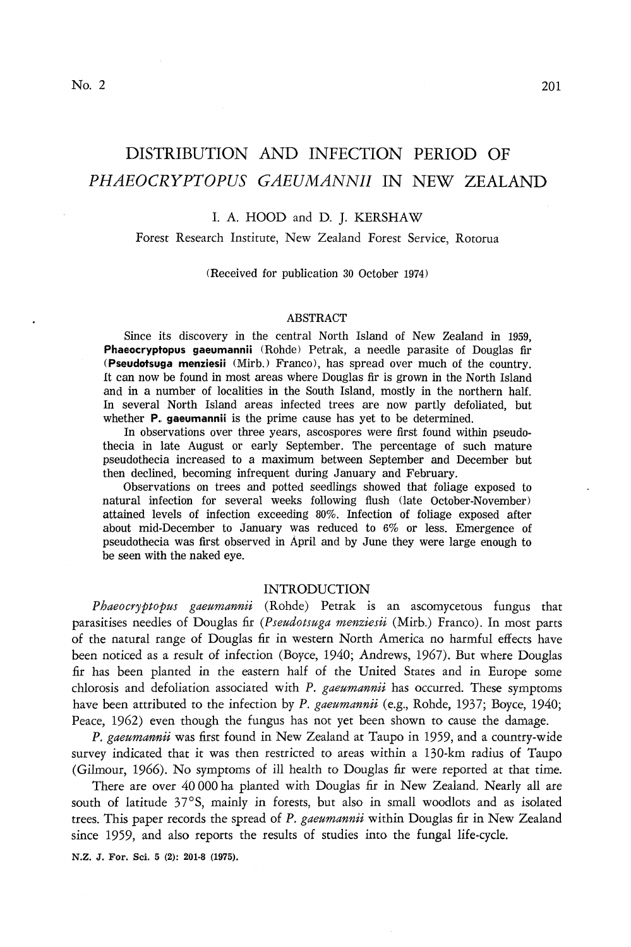# DISTRIBUTION AND INFECTION PERIOD OF

# I. A. HOOD and D. J. KERSHAW

*PHAEOCRYPTOPUS GAEUMANNII* IN NEW ZEALAND

# Forest Research Institute, New Zealand Forest Service, Rotorua

# (Received for publication 30 October 1974)

#### ABSTRACT

Since its discovery in the central North Island of New Zealand in 1959, **Phaeocryptopus gaeumannii** (Rohde) Petrak, a needle parasite of Douglas fir **(Pseudotsuga menziesii** (Mirb.) Franco), has spread over much of the country. It can now be found in most areas where Douglas fir is grown in the North Island and in a number of localities in the South Island, mostly in the northern half. In several North Island areas infected trees are now partly defoliated, but whether **P., gaeumannii** is the prime cause has yet to be determined.

In observations over three years, ascospores were first found within pseudothecia in late August or early September. The percentage of such mature pseudothecia increased to a maximum between September and December but then declined, becoming infrequent during January and February.

Observations on trees and potted seedlings showed that foliage exposed to natural infection for several weeks following flush (late October-November) attained levels of infection exceeding 80%. Infection of foliage exposed after about mid-December to January was reduced to 6% or less. Emergence of pseudothecia was first observed in April and by June they were large enough to be seen with the naked eye.

# INTRODUCTION

*Phaeocryptopus gaeumannii* (Rohde) Petrak is an ascomycetous fungus that parasitises needles of Douglas fir *(Pseudotsuga menziesii* (Mirb.) Franco). In most parts of the natural range of Douglas fir in western North America no harmful effects have been noticed as a result of infection (Boyce, 1940; Andrews, 1967). But where Douglas fir has been planted in the eastern half of the United States and in Europe some chlorosis and defoliation associated with *P. gaeumannii* has occurred. These symptoms have been attributed to the infection by *P. gaeumannii* (e.g., Rohde, 1937; Boyce, 1940; Peace, 1962) even though the fungus has not yet been shown to cause the damage.

*P. gaeumannii* was first found in New Zealand at Taupo in 1959, and a country-wide survey indicated that it was then restricted to areas within a 130-km radius of Taupo (Gilmour, 1966). No symptoms of ill health to Douglas fir were reported at that time.

There are over 40 000 ha planted with Douglas fir in New Zealand. Nearly all are south of latitude 37°S, mainly in forests, but also in small woodlots and as isolated trees. This paper records the spread of *P. gaeumannii* within Douglas fir *in* New Zealand since 1959, and also reports the results of studies into the fungal life-cycle.

N.Z. J. For. Sci. 5 (2): 201-8 (1975).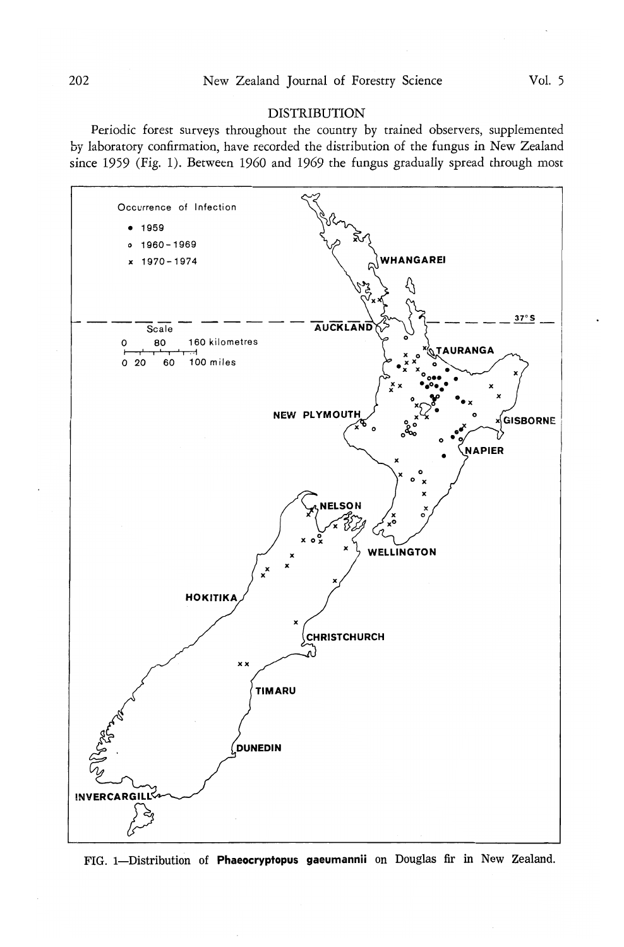# **DISTRIBUTION**

Periodic forest surveys throughout the country by trained observers, supplemented by laboratory confirmation, have recorded the distribution of the fungus in New Zealand since 1959 (Fig. 1). Between I960 and 1969 the fungus gradually spread through most



FIG. 1—Distribution of **Phaeocryptopus gaeumannii** on Douglas fir in New Zealand.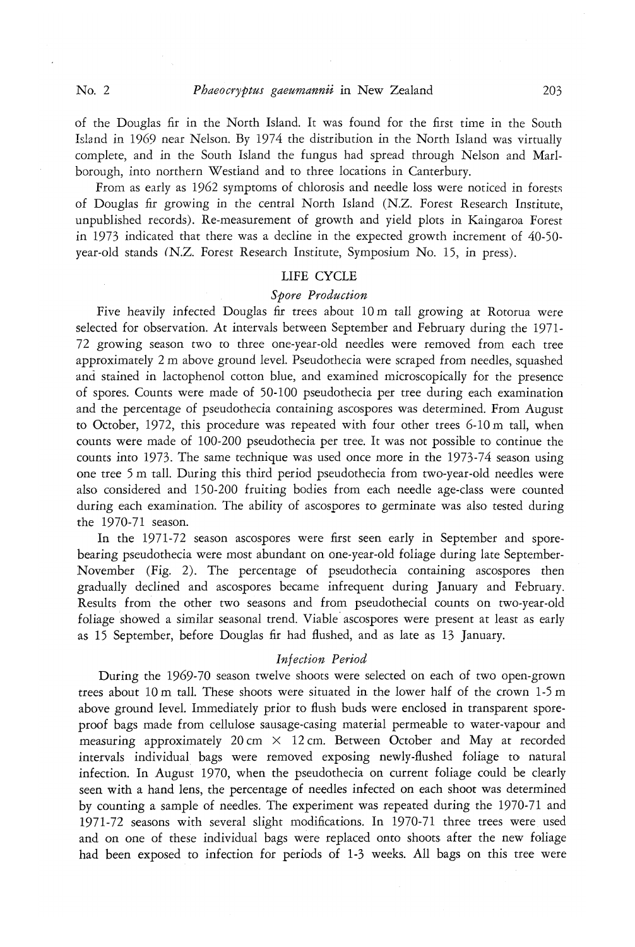of the Douglas fir in the North Island. It was found for the first time in the South Island in 1969 near Nelson. By 1974 the distribution in the North Island was virtually complete, and in the South Island the fungus had spread through Nelson and Marlborough, into northern Westland and to three locations in Canterbury.

From as early as 1962 symptoms of chlorosis and needle loss were noticed in forests of Douglas fir growing in the central North Island (NZ. Forest Research Institute, unpublished records). Re-measurement of growth and yield plots in Kaingaroa Forest in 1973 indicated that there was a decline in the expected growth increment of 40-50 year-old stands (N.Z. Forest Research Institute, Symposium No. 15, in press).

# LIFE CYCLE

# *Spore Production*

Five heavily infected Douglas fir trees about 10 m tall growing at Rotorua were selected for observation. At intervals between September and February during the 1971- 72 growing season two to three one-year-old needles were removed from each tree approximately 2 m above ground level. Pseudothecia were scraped from needles, squashed and stained in lactophenol cotton blue, and examined microscopically for the presence of spores. Counts were made of 50-100 pseudothecia per tree during each examination and the percentage of pseudothecia containing ascospores was determined. From August to October, 1972, this procedure was repeated with four other trees 6-10 m tall, when counts were made of 100-200 pseudothecia per tree. It was not possible to continue the counts into 1973. The same technique was used once more in the 1973-74 season using one tree 5 m tall. During this third period pseudothecia from two-year-old needles were also considered and 150-200 fruiting bodies from each needle age-class were counted during each examination. The ability of ascospores to germinate was also tested during the 1970-71 season.

In the 1971-72 season ascospores were first seen early in September and sporebearing pseudothecia were most abundant on one-year-old foliage during late September-November (Fig. 2). The percentage of pseudothecia containing ascospores then gradually declined and ascospores became infrequent during January and February. Results from the other two seasons and from pseudothecial counts on two-year-old foliage showed a similar seasonal trend. Viable ascospores were present at least as early as 15 September, before Douglas fir had flushed, and as late as 13 January.

#### *Injection Period*

During the 1969-70 season twelve shoots were selected on each of two open-grown trees about 10 m tall. These shoots were situated in the lower half of the crown 1-5 m above ground level. Immediately prior to flush buds were enclosed in transparent sporeproof bags made from cellulose sausage-casing material permeable to water-vapour and measuring approximately 20 cm  $\times$  12 cm. Between October and May at recorded intervals individual bags were removed exposing newly-flushed foliage to natural infection. In August 1970, when the pseudothecia on current foliage could be clearly seen with a hand lens, the percentage of needles infected on each shoot was determined by counting a sample of needles. The experiment was repeated during the 1970-71 and 1971-72 seasons with several slight modifications. In 1970-71 three trees were used and on one of these individual bags were replaced onto shoots after the new foliage had been exposed to infection for periods of 1-3 weeks. All bags on this tree were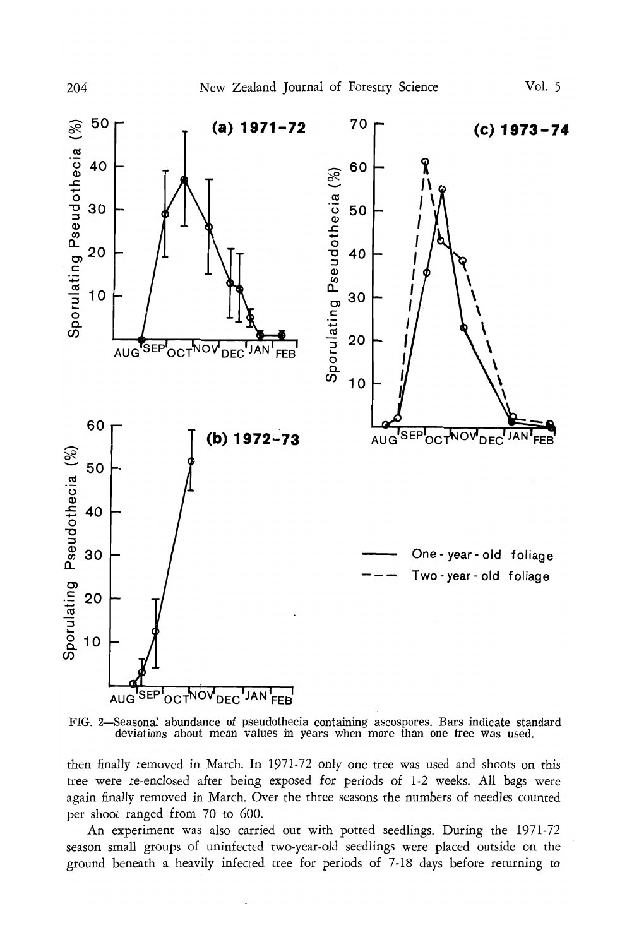



then finally removed in March. In 1971-72 only one tree was used and shoots on this tree were re-enclosed after being exposed for periods of 1-2 weeks. All bags were again finally removed in March. Over the three seasons the numbers of needles counted per shoot ranged from 70 to 600.

An experiment was also carried out with potted seedlings. During the 1971-72 season small groups of uninfected two-year-old seedlings were placed outside on the ground beneath a heavily infected tree for periods of 7-18 days before returning to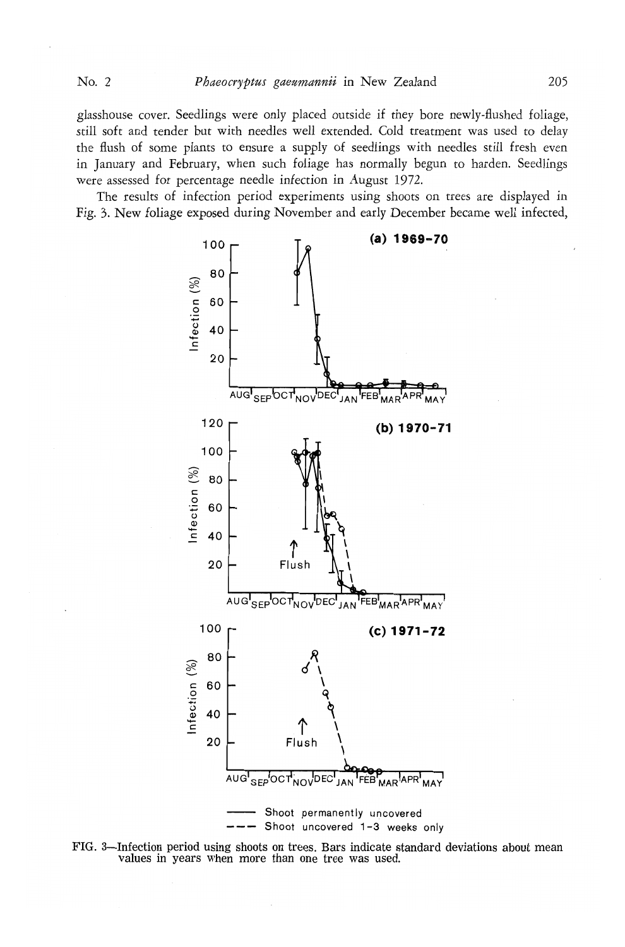glasshouse cover. Seedlings were only placed outside if they bore newly-flushed foliage, still soft and tender but with needles well extended. Cold treatment was used to delay the flush of some plants to ensure a supply of seedlings with needles still fresh even in January and February, when such foliage has normally begun to harden. Seedlings were assessed for percentage needle infection in August 1972.

The results of infection period experiments using shoots on trees are displayed in Fig. 3. New foliage exposed during November and early December became well infected,



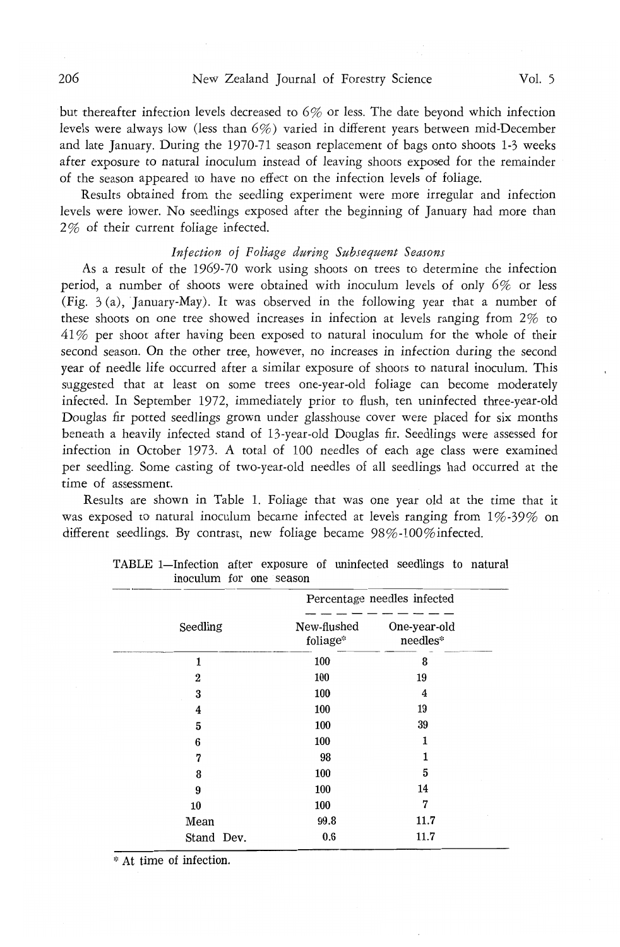but thereafter infection levels decreased to 6% or less. The date beyond which infection levels were always low (less than 6%) varied in different years between mid-December and late January. During the 1970-71 season replacement of bags onto shoots 1-3 weeks after exposure to natural inoculum instead of leaving shoots exposed for the remainder of the season appeared to have no effect on the infection levels of foliage.

Results obtained from the seedling experiment were more irregular and infection levels were lower. No seedlings exposed after the beginning of January had more than 2% of their current foliage infected.

# *Infection of Foliage during Subsequent Seasons*

As a result of the 1969-70 work using shoots on trees to determine the infection period, a number of shoots were obtained with inoculum levels of only 6% or less (Fig. 3 (a), January-May). It was observed in the following year that a number of these shoots on one tree showed increases in infection at levels ranging from 2% to 4 1 % per shoot after having been exposed to natural inoculum for the whole of their second season. On the other tree, however, no increases in infection during the second year of needle life occurred after a similar exposure of shoots to natural inoculum. This suggested that at least on some trees one-year-old foliage can become moderately infected. In September 1972, immediately prior to flush, ten uninfected three-year-old Douglas fir potted seedlings grown under glasshouse cover were placed for six months beneath a heavily infected stand of 13-year-old Douglas fir. Seedlings were assessed for infection in October 1973. A total of 100 needles of each age class were examined per seedling. Some casting of two-year-old needles of all seedlings had occurred at the time of assessment.

Results are shown in Table 1. Foliage that was one year old at the time that it was exposed to natural inoculum became infected at levels ranging from  $1\%$ -39% on different seedlings. By contrast, new foliage became 98%-100% infected.

|                | Percentage needles infected |                          |  |  |
|----------------|-----------------------------|--------------------------|--|--|
| Seedling       | New-flushed<br>foliage*     | One-year-old<br>needles* |  |  |
| 1              | 100                         | 8                        |  |  |
| $\overline{2}$ | 100                         | 19                       |  |  |
| 3              | 100                         | 4                        |  |  |
| 4              | 100                         | 19                       |  |  |
| 5              | 100                         | 39                       |  |  |
| 6              | 100                         | 1                        |  |  |
| 7              | 98                          | 1                        |  |  |
| 8              | 100                         | 5                        |  |  |
| 9              | 100                         | 14                       |  |  |
| 10             | 100                         | 7                        |  |  |
| Mean           | 99.8                        | 11.7                     |  |  |
| Stand Dev.     | 0.6                         | 11.7                     |  |  |

| TABLE 1—Infection after exposure of uninfected seedlings to natural |                         |  |  |  |
|---------------------------------------------------------------------|-------------------------|--|--|--|
|                                                                     | inoculum for one season |  |  |  |

\* At time of infection.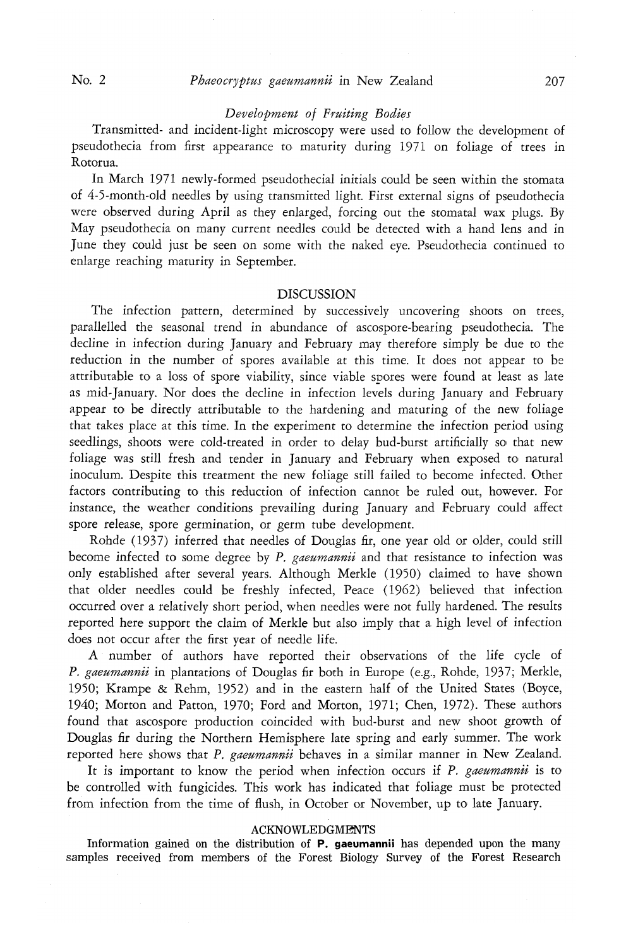# *Development of Fruiting Bodies*

Transmitted- and incident-light microscopy were used to follow the development of pseudothecia from first appearance to maturity during 1971 on foliage of trees in Rotorua.

In March 1971 newly-formed pseudothecial initials could be seen within the stomata of 4-5-month-old needles by using transmitted light. First external signs of pseudothecia were observed during April as they enlarged, forcing out the stomatal wax plugs. By May pseudothecia on many current needles could be detected with a hand lens and in June they could just be seen on some with the naked eye. Pseudothecia continued to enlarge reaching maturity in September.

# DISCUSSION

The infection pattern, determined by successively uncovering shoots on trees, parallelled the seasonal trend in abundance of ascospore-bearing pseudothecia. The decline in infection during January and February may therefore simply be due to the reduction in the number of spores available at this time. It does not appear to be attributable to a loss of spore viability, since viable spores were found at least as late as mid-January. Nor does the decline in infection levels during January and February appear to be directly attributable to the hardening and maturing of the new foliage that takes place at this time. In the experiment to determine the infection period using seedlings, shoots were cold-treated in order to delay bud-burst artificially so that new foliage was still fresh and tender in January and February when exposed to natural inoculum. Despite this treatment the new foliage still failed to become infected. Other factors contributing to this reduction of infection cannot be ruled out, however. For instance, the weather conditions prevailing during January and February could affect spore release, spore germination, or germ tube development.

Rohde (1937) inferred that needles of Douglas fir, one year old or older, could still become infected to some degree by *P. gaeumannii* and that resistance to< infection was only established after several years. Although Merkle (1950) claimed to have shown that older needles could be freshly infected, Peace (1962) believed that infection occurred over a relatively short period, when needles were not fully hardened. The results reported here support the claim of Merkle but also imply that a high level of infection does not occur after the first year of needle life.

A number of authors have reported their observations of the life cycle of *P. gaeumannii* in plantations of Douglas fir both in Europe (e.g., Rohde, 1937; Merkle, 1950; Krampe & Rehm, 1952) and in the eastern half of the United States (Boyce, 1940; Morton and Patton, 1970; Ford and Morton, 1971; Chen, 1972). These authors found that ascospore production coincided with bud-burst and new shoot growth of Douglas fir during the Northern Hemisphere late spring and early summer. The work reported here shows that *P. gaeumannii* behaves in a similar manner in New Zealand.

It is important to know the period when infection occurs if *P. gaeumannii* is to be controlled with fungicides. This work has indicated that foliage must be protected from infection from the time of flush, in October or November, up to late January.

## ACKNOWLEDGMENTS

Information gained on the distribution of **P. gaeumannii** has depended upon the many samples received from members of the Forest Biology Survey of the Forest Research